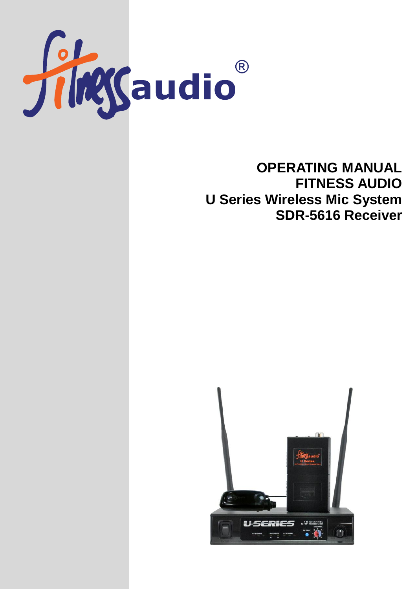

# **OPERATING MANUAL FITNESS AUDIO U Series Wireless Mic System SDR-5616 Receiver**

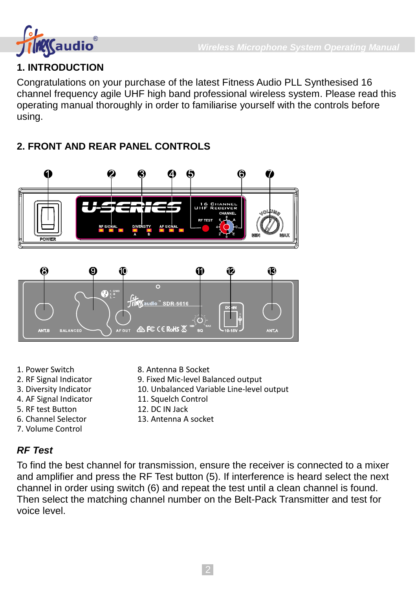

# **1. INTRODUCTION**

Congratulations on your purchase of the latest Fitness Audio PLL Synthesised 16 channel frequency agile UHF high band professional wireless system. Please read this operating manual thoroughly in order to familiarise yourself with the controls before using.

# **2. FRONT AND REAR PANEL CONTROLS**



- 1. Power Switch
- 2. RF Signal Indicator
- 3. Diversity Indicator
- 4. AF Signal Indicator
- 5. RF test Button
- 6. Channel Selector
- 7. Volume Control
- 8. Antenna B Socket
- 9. Fixed Mic-level Balanced output
- 10. Unbalanced Variable Line-level output
	- 11. Squelch Control
	- 12. DC IN Jack

 $\sqrt{FC}$  ( $\in$  RoHs  $\overline{\mathbb{X}}$ 

13. Antenna A socket

# *RF Test*

To find the best channel for transmission, ensure the receiver is connected to a mixer and amplifier and press the RF Test button (5). If interference is heard select the next channel in order using switch (6) and repeat the test until a clean channel is found. Then select the matching channel number on the Belt-Pack Transmitter and test for voice level.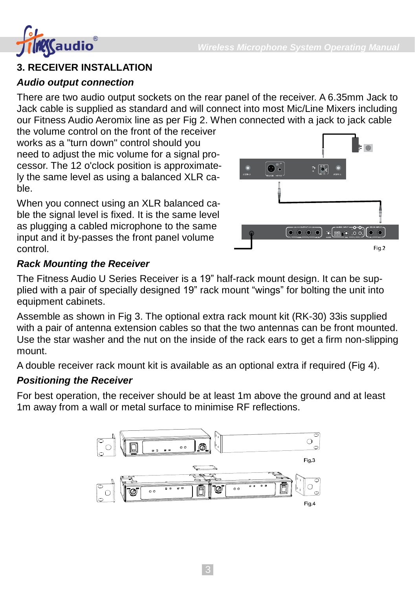

## **3. RECEIVER INSTALLATION**

#### *Audio output connection*

There are two audio output sockets on the rear panel of the receiver. A 6.35mm Jack to Jack cable is supplied as standard and will connect into most Mic/Line Mixers including our Fitness Audio Aeromix line as per Fig 2. When connected with a jack to jack cable

the volume control on the front of the receiver works as a "turn down" control should you need to adjust the mic volume for a signal processor. The 12 o'clock position is approximately the same level as using a balanced XLR cable.

When you connect using an XLR balanced cable the signal level is fixed. It is the same level as plugging a cabled microphone to the same input and it by-passes the front panel volume control.



### *Rack Mounting the Receiver*

The Fitness Audio U Series Receiver is a 19" half-rack mount design. It can be supplied with a pair of specially designed 19" rack mount "wings" for bolting the unit into equipment cabinets.

Assemble as shown in Fig 3. The optional extra rack mount kit (RK-30) 33is supplied with a pair of antenna extension cables so that the two antennas can be front mounted. Use the star washer and the nut on the inside of the rack ears to get a firm non-slipping mount.

A double receiver rack mount kit is available as an optional extra if required (Fig 4).

### *Positioning the Receiver*

For best operation, the receiver should be at least 1m above the ground and at least 1m away from a wall or metal surface to minimise RF reflections.

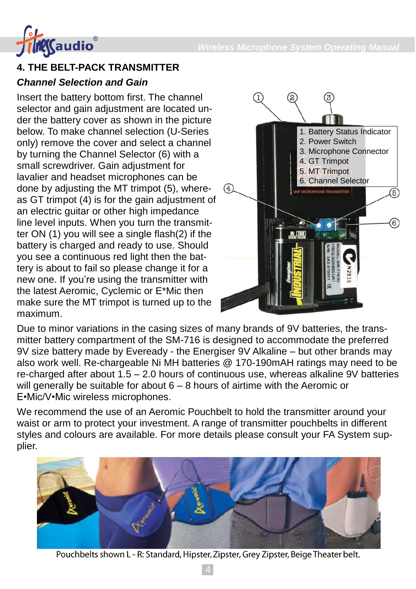

## **4. THE BELT-PACK TRANSMITTER**

#### *Channel Selection and Gain*

Insert the battery bottom first. The channel selector and gain adjustment are located under the battery cover as shown in the picture below. To make channel selection (U-Series only) remove the cover and select a channel by turning the Channel Selector (6) with a small screwdriver. Gain adjustment for lavalier and headset microphones can be done by adjusting the MT trimpot (5), whereas GT trimpot (4) is for the gain adjustment of an electric guitar or other high impedance line level inputs. When you turn the transmitter ON (1) you will see a single flash(2) if the battery is charged and ready to use. Should you see a continuous red light then the battery is about to fail so please change it for a new one. If you're using the transmitter with the latest Aeromic, Cyclemic or E\*Mic then make sure the MT trimpot is turned up to the maximum.



Due to minor variations in the casing sizes of many brands of 9V batteries, the transmitter battery compartment of the SM-716 is designed to accommodate the preferred 9V size battery made by Eveready - the Energiser 9V Alkaline – but other brands may also work well. Re-chargeable Ni MH batteries @ 170-190mAH ratings may need to be re-charged after about 1.5 – 2.0 hours of continuous use, whereas alkaline 9V batteries will generally be suitable for about 6 – 8 hours of airtime with the Aeromic or E•Mic/V•Mic wireless microphones.

We recommend the use of an Aeromic Pouchbelt to hold the transmitter around your waist or arm to protect your investment. A range of transmitter pouchbelts in different styles and colours are available. For more details please consult your FA System supplier.



Pouchbelts shown L - R: Standard, Hipster, Zipster, Grey Zipster, Beige Theater belt.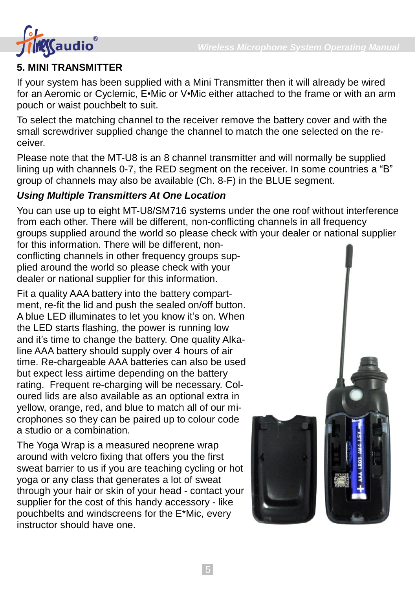

# **5. MINI TRANSMITTER**

If your system has been supplied with a Mini Transmitter then it will already be wired for an Aeromic or Cyclemic, E•Mic or V•Mic either attached to the frame or with an arm pouch or waist pouchbelt to suit.

To select the matching channel to the receiver remove the battery cover and with the small screwdriver supplied change the channel to match the one selected on the receiver.

Please note that the MT-U8 is an 8 channel transmitter and will normally be supplied lining up with channels 0-7, the RED segment on the receiver. In some countries a "B" group of channels may also be available (Ch. 8-F) in the BLUE segment.

# *Using Multiple Transmitters At One Location*

You can use up to eight MT-U8/SM716 systems under the one roof without interference from each other. There will be different, non-conflicting channels in all frequency groups supplied around the world so please check with your dealer or national supplier for this information. There will be different, non-

conflicting channels in other frequency groups supplied around the world so please check with your dealer or national supplier for this information.

Fit a quality AAA battery into the battery compartment, re-fit the lid and push the sealed on/off button. A blue LED illuminates to let you know it's on. When the LED starts flashing, the power is running low and it's time to change the battery. One quality Alkaline AAA battery should supply over 4 hours of air time. Re-chargeable AAA batteries can also be used but expect less airtime depending on the battery rating. Frequent re-charging will be necessary. Coloured lids are also available as an optional extra in yellow, orange, red, and blue to match all of our microphones so they can be paired up to colour code a studio or a combination.

The Yoga Wrap is a measured neoprene wrap around with velcro fixing that offers you the first sweat barrier to us if you are teaching cycling or hot yoga or any class that generates a lot of sweat through your hair or skin of your head - contact your supplier for the cost of this handy accessory - like pouchbelts and windscreens for the E\*Mic, every instructor should have one.

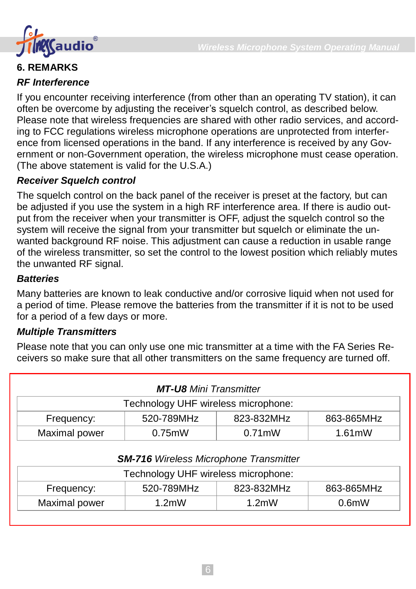

### **6. REMARKS**

#### *RF Interference*

If you encounter receiving interference (from other than an operating TV station), it can often be overcome by adjusting the receiver's squelch control, as described below. Please note that wireless frequencies are shared with other radio services, and according to FCC regulations wireless microphone operations are unprotected from interference from licensed operations in the band. If any interference is received by any Government or non-Government operation, the wireless microphone must cease operation. (The above statement is valid for the U.S.A.)

#### *Receiver Squelch control*

The squelch control on the back panel of the receiver is preset at the factory, but can be adjusted if you use the system in a high RF interference area. If there is audio output from the receiver when your transmitter is OFF, adjust the squelch control so the system will receive the signal from your transmitter but squelch or eliminate the unwanted background RF noise. This adjustment can cause a reduction in usable range of the wireless transmitter, so set the control to the lowest position which reliably mutes the unwanted RF signal.

### *Batteries*

Many batteries are known to leak conductive and/or corrosive liquid when not used for a period of time. Please remove the batteries from the transmitter if it is not to be used for a period of a few days or more.

#### *Multiple Transmitters*

Please note that you can only use one mic transmitter at a time with the FA Series Receivers so make sure that all other transmitters on the same frequency are turned off.

|               | <b>MT-U8</b> Mini Transmitter                 |            |              |  |
|---------------|-----------------------------------------------|------------|--------------|--|
|               | Technology UHF wireless microphone:           |            |              |  |
| Frequency:    | 520-789MHz                                    | 823-832MHz | 863-865MHz   |  |
| Maximal power | $0.75$ m $W$                                  | $0.71$ mW  | $1.61$ m $W$ |  |
|               |                                               |            |              |  |
|               |                                               |            |              |  |
|               | <b>SM-716</b> Wireless Microphone Transmitter |            |              |  |
|               | Technology UHF wireless microphone:           |            |              |  |
| Frequency:    | 520-789MHz                                    | 823-832MHz | 863-865MHz   |  |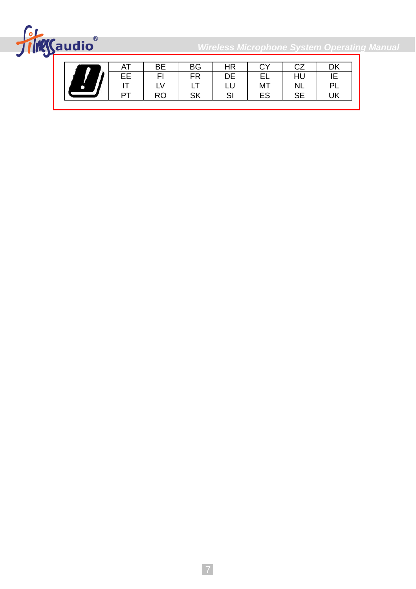

*Wireless Microphone System Operating Manual*

|  | AT | ВE | <b>BG</b> | HR          | $\sim$<br>U | ~7<br>"       | DK |
|--|----|----|-----------|-------------|-------------|---------------|----|
|  | FF | FI | <b>FR</b> | DE          | FΙ          | HU            | ΙE |
|  |    |    | - 1       |             | MT          | <b>NL</b>     | DI |
|  | DТ | RO | SK        | $\sim$<br>י | ES          | $\sim$ $\sim$ | UK |